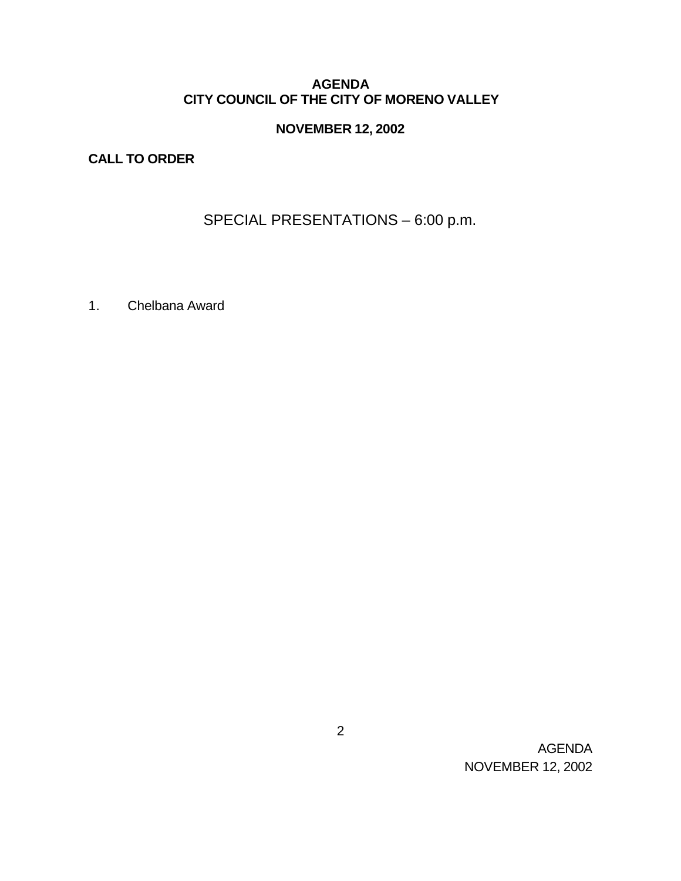### **AGENDA CITY COUNCIL OF THE CITY OF MORENO VALLEY**

# **NOVEMBER 12, 2002**

# **CALL TO ORDER**

# SPECIAL PRESENTATIONS – 6:00 p.m.

1. Chelbana Award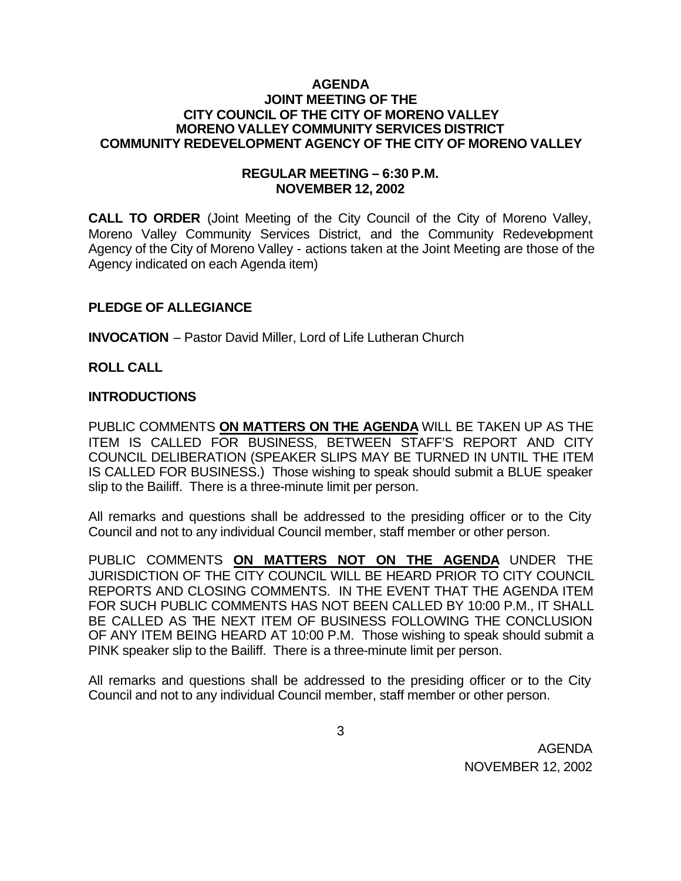#### **AGENDA JOINT MEETING OF THE CITY COUNCIL OF THE CITY OF MORENO VALLEY MORENO VALLEY COMMUNITY SERVICES DISTRICT COMMUNITY REDEVELOPMENT AGENCY OF THE CITY OF MORENO VALLEY**

#### **REGULAR MEETING – 6:30 P.M. NOVEMBER 12, 2002**

**CALL TO ORDER** (Joint Meeting of the City Council of the City of Moreno Valley, Moreno Valley Community Services District, and the Community Redevelopment Agency of the City of Moreno Valley - actions taken at the Joint Meeting are those of the Agency indicated on each Agenda item)

## **PLEDGE OF ALLEGIANCE**

**INVOCATION** – Pastor David Miller, Lord of Life Lutheran Church

**ROLL CALL**

#### **INTRODUCTIONS**

PUBLIC COMMENTS **ON MATTERS ON THE AGENDA** WILL BE TAKEN UP AS THE ITEM IS CALLED FOR BUSINESS, BETWEEN STAFF'S REPORT AND CITY COUNCIL DELIBERATION (SPEAKER SLIPS MAY BE TURNED IN UNTIL THE ITEM IS CALLED FOR BUSINESS.) Those wishing to speak should submit a BLUE speaker slip to the Bailiff. There is a three-minute limit per person.

All remarks and questions shall be addressed to the presiding officer or to the City Council and not to any individual Council member, staff member or other person.

PUBLIC COMMENTS **ON MATTERS NOT ON THE AGENDA** UNDER THE JURISDICTION OF THE CITY COUNCIL WILL BE HEARD PRIOR TO CITY COUNCIL REPORTS AND CLOSING COMMENTS. IN THE EVENT THAT THE AGENDA ITEM FOR SUCH PUBLIC COMMENTS HAS NOT BEEN CALLED BY 10:00 P.M., IT SHALL BE CALLED AS THE NEXT ITEM OF BUSINESS FOLLOWING THE CONCLUSION OF ANY ITEM BEING HEARD AT 10:00 P.M. Those wishing to speak should submit a PINK speaker slip to the Bailiff. There is a three-minute limit per person.

All remarks and questions shall be addressed to the presiding officer or to the City Council and not to any individual Council member, staff member or other person.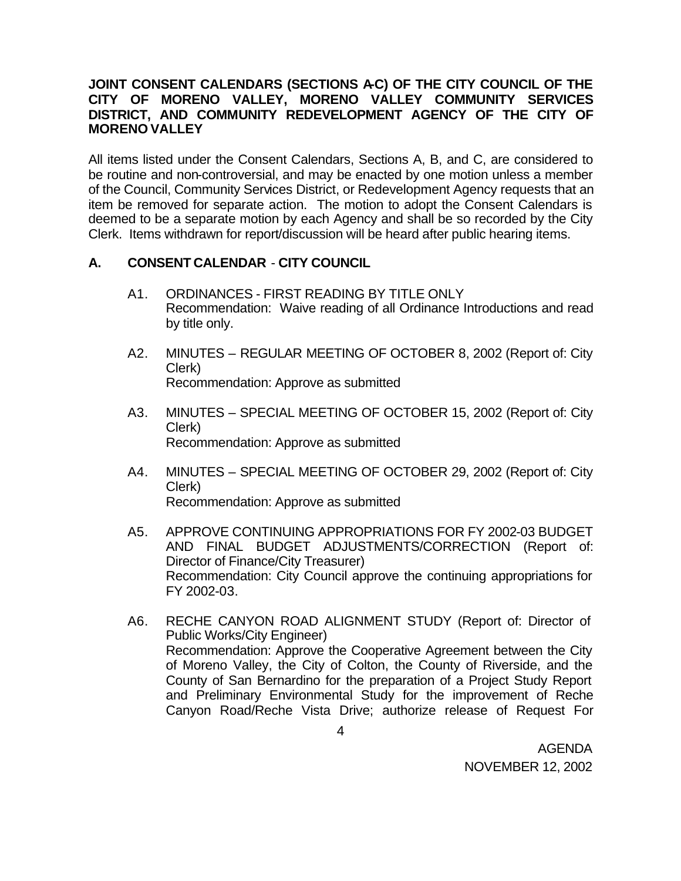#### **JOINT CONSENT CALENDARS (SECTIONS A-C) OF THE CITY COUNCIL OF THE CITY OF MORENO VALLEY, MORENO VALLEY COMMUNITY SERVICES DISTRICT, AND COMMUNITY REDEVELOPMENT AGENCY OF THE CITY OF MORENO VALLEY**

All items listed under the Consent Calendars, Sections A, B, and C, are considered to be routine and non-controversial, and may be enacted by one motion unless a member of the Council, Community Services District, or Redevelopment Agency requests that an item be removed for separate action. The motion to adopt the Consent Calendars is deemed to be a separate motion by each Agency and shall be so recorded by the City Clerk. Items withdrawn for report/discussion will be heard after public hearing items.

## **A. CONSENT CALENDAR** - **CITY COUNCIL**

- A1. ORDINANCES FIRST READING BY TITLE ONLY Recommendation: Waive reading of all Ordinance Introductions and read by title only.
- A2. MINUTES REGULAR MEETING OF OCTOBER 8, 2002 (Report of: City Clerk) Recommendation: Approve as submitted
- A3. MINUTES SPECIAL MEETING OF OCTOBER 15, 2002 (Report of: City Clerk) Recommendation: Approve as submitted
- A4. MINUTES SPECIAL MEETING OF OCTOBER 29, 2002 (Report of: City Clerk) Recommendation: Approve as submitted
- A5. APPROVE CONTINUING APPROPRIATIONS FOR FY 2002-03 BUDGET AND FINAL BUDGET ADJUSTMENTS/CORRECTION (Report of: Director of Finance/City Treasurer) Recommendation: City Council approve the continuing appropriations for FY 2002-03.
- A6. RECHE CANYON ROAD ALIGNMENT STUDY (Report of: Director of Public Works/City Engineer) Recommendation: Approve the Cooperative Agreement between the City of Moreno Valley, the City of Colton, the County of Riverside, and the County of San Bernardino for the preparation of a Project Study Report and Preliminary Environmental Study for the improvement of Reche Canyon Road/Reche Vista Drive; authorize release of Request For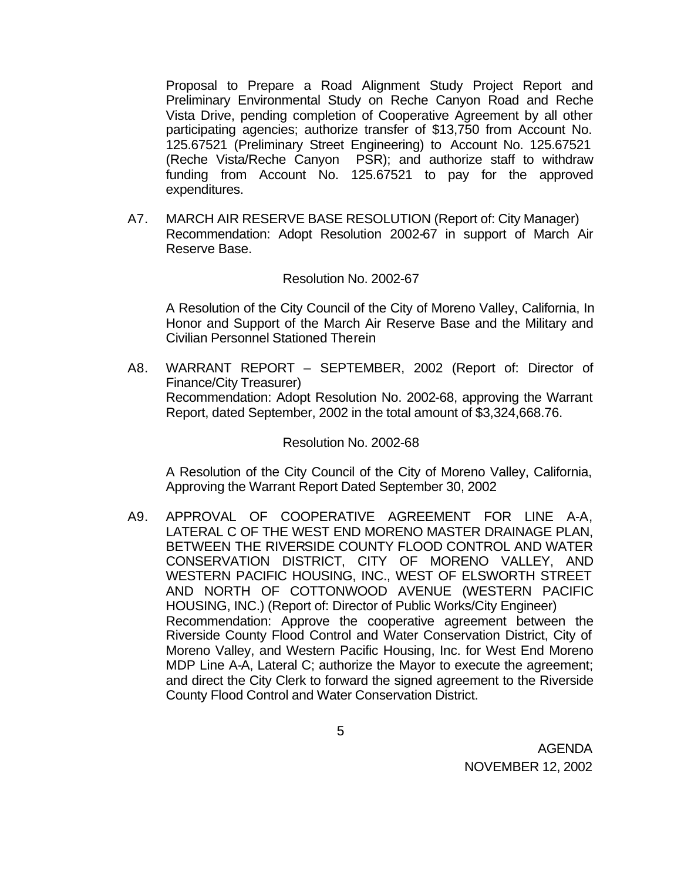Proposal to Prepare a Road Alignment Study Project Report and Preliminary Environmental Study on Reche Canyon Road and Reche Vista Drive, pending completion of Cooperative Agreement by all other participating agencies; authorize transfer of \$13,750 from Account No. 125.67521 (Preliminary Street Engineering) to Account No. 125.67521 (Reche Vista/Reche Canyon PSR); and authorize staff to withdraw funding from Account No. 125.67521 to pay for the approved expenditures.

A7. MARCH AIR RESERVE BASE RESOLUTION (Report of: City Manager) Recommendation: Adopt Resolution 2002-67 in support of March Air Reserve Base.

#### Resolution No. 2002-67

A Resolution of the City Council of the City of Moreno Valley, California, In Honor and Support of the March Air Reserve Base and the Military and Civilian Personnel Stationed Therein

A8. WARRANT REPORT – SEPTEMBER, 2002 (Report of: Director of Finance/City Treasurer) Recommendation: Adopt Resolution No. 2002-68, approving the Warrant Report, dated September, 2002 in the total amount of \$3,324,668.76.

Resolution No. 2002-68

A Resolution of the City Council of the City of Moreno Valley, California, Approving the Warrant Report Dated September 30, 2002

A9. APPROVAL OF COOPERATIVE AGREEMENT FOR LINE A-A, LATERAL C OF THE WEST END MORENO MASTER DRAINAGE PLAN, BETWEEN THE RIVERSIDE COUNTY FLOOD CONTROL AND WATER CONSERVATION DISTRICT, CITY OF MORENO VALLEY, AND WESTERN PACIFIC HOUSING, INC., WEST OF ELSWORTH STREET AND NORTH OF COTTONWOOD AVENUE (WESTERN PACIFIC HOUSING, INC.) (Report of: Director of Public Works/City Engineer) Recommendation: Approve the cooperative agreement between the Riverside County Flood Control and Water Conservation District, City of Moreno Valley, and Western Pacific Housing, Inc. for West End Moreno MDP Line A-A, Lateral C; authorize the Mayor to execute the agreement; and direct the City Clerk to forward the signed agreement to the Riverside County Flood Control and Water Conservation District.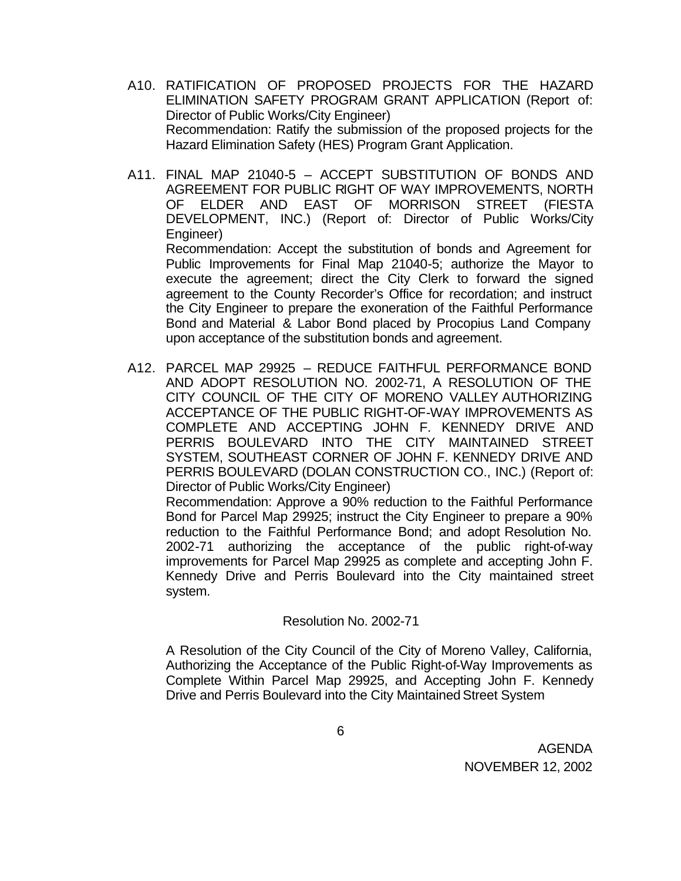- A10. RATIFICATION OF PROPOSED PROJECTS FOR THE HAZARD ELIMINATION SAFETY PROGRAM GRANT APPLICATION (Report of: Director of Public Works/City Engineer) Recommendation: Ratify the submission of the proposed projects for the Hazard Elimination Safety (HES) Program Grant Application.
- A11. FINAL MAP 21040-5 ACCEPT SUBSTITUTION OF BONDS AND AGREEMENT FOR PUBLIC RIGHT OF WAY IMPROVEMENTS, NORTH OF ELDER AND EAST OF MORRISON STREET (FIESTA DEVELOPMENT, INC.) (Report of: Director of Public Works/City Engineer) Recommendation: Accept the substitution of bonds and Agreement for

Public Improvements for Final Map 21040-5; authorize the Mayor to execute the agreement; direct the City Clerk to forward the signed agreement to the County Recorder's Office for recordation; and instruct the City Engineer to prepare the exoneration of the Faithful Performance Bond and Material & Labor Bond placed by Procopius Land Company upon acceptance of the substitution bonds and agreement.

A12. PARCEL MAP 29925 – REDUCE FAITHFUL PERFORMANCE BOND AND ADOPT RESOLUTION NO. 2002-71, A RESOLUTION OF THE CITY COUNCIL OF THE CITY OF MORENO VALLEY AUTHORIZING ACCEPTANCE OF THE PUBLIC RIGHT-OF-WAY IMPROVEMENTS AS COMPLETE AND ACCEPTING JOHN F. KENNEDY DRIVE AND PERRIS BOULEVARD INTO THE CITY MAINTAINED STREET SYSTEM, SOUTHEAST CORNER OF JOHN F. KENNEDY DRIVE AND PERRIS BOULEVARD (DOLAN CONSTRUCTION CO., INC.) (Report of: Director of Public Works/City Engineer) Recommendation: Approve a 90% reduction to the Faithful Performance Bond for Parcel Map 29925; instruct the City Engineer to prepare a 90% reduction to the Faithful Performance Bond; and adopt Resolution No.

2002-71 authorizing the acceptance of the public right-of-way improvements for Parcel Map 29925 as complete and accepting John F. Kennedy Drive and Perris Boulevard into the City maintained street system.

## Resolution No. 2002-71

A Resolution of the City Council of the City of Moreno Valley, California, Authorizing the Acceptance of the Public Right-of-Way Improvements as Complete Within Parcel Map 29925, and Accepting John F. Kennedy Drive and Perris Boulevard into the City Maintained Street System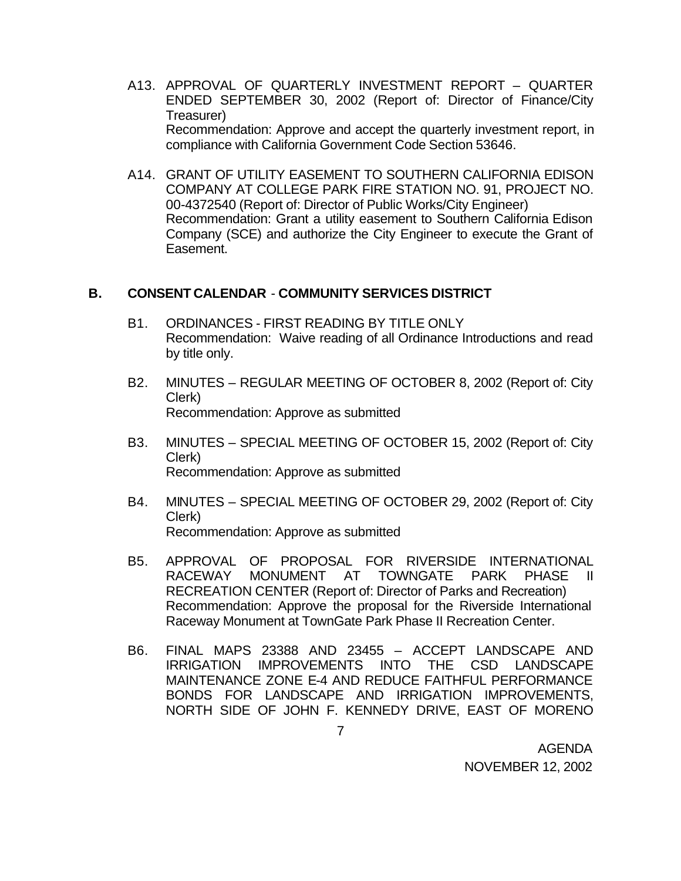- A13. APPROVAL OF QUARTERLY INVESTMENT REPORT QUARTER ENDED SEPTEMBER 30, 2002 (Report of: Director of Finance/City Treasurer) Recommendation: Approve and accept the quarterly investment report, in compliance with California Government Code Section 53646.
- A14. GRANT OF UTILITY EASEMENT TO SOUTHERN CALIFORNIA EDISON COMPANY AT COLLEGE PARK FIRE STATION NO. 91, PROJECT NO. 00-4372540 (Report of: Director of Public Works/City Engineer) Recommendation: Grant a utility easement to Southern California Edison Company (SCE) and authorize the City Engineer to execute the Grant of Easement.

## **B. CONSENT CALENDAR** - **COMMUNITY SERVICES DISTRICT**

- B1. ORDINANCES FIRST READING BY TITLE ONLY Recommendation: Waive reading of all Ordinance Introductions and read by title only.
- B2. MINUTES REGULAR MEETING OF OCTOBER 8, 2002 (Report of: City Clerk) Recommendation: Approve as submitted
- B3. MINUTES SPECIAL MEETING OF OCTOBER 15, 2002 (Report of: City Clerk) Recommendation: Approve as submitted
- B4. MINUTES SPECIAL MEETING OF OCTOBER 29, 2002 (Report of: City Clerk) Recommendation: Approve as submitted
- B5. APPROVAL OF PROPOSAL FOR RIVERSIDE INTERNATIONAL RACEWAY MONUMENT AT TOWNGATE PARK PHASE II RECREATION CENTER (Report of: Director of Parks and Recreation) Recommendation: Approve the proposal for the Riverside International Raceway Monument at TownGate Park Phase II Recreation Center.
- B6. FINAL MAPS 23388 AND 23455 ACCEPT LANDSCAPE AND IRRIGATION IMPROVEMENTS INTO THE CSD LANDSCAPE MAINTENANCE ZONE E-4 AND REDUCE FAITHFUL PERFORMANCE BONDS FOR LANDSCAPE AND IRRIGATION IMPROVEMENTS, NORTH SIDE OF JOHN F. KENNEDY DRIVE, EAST OF MORENO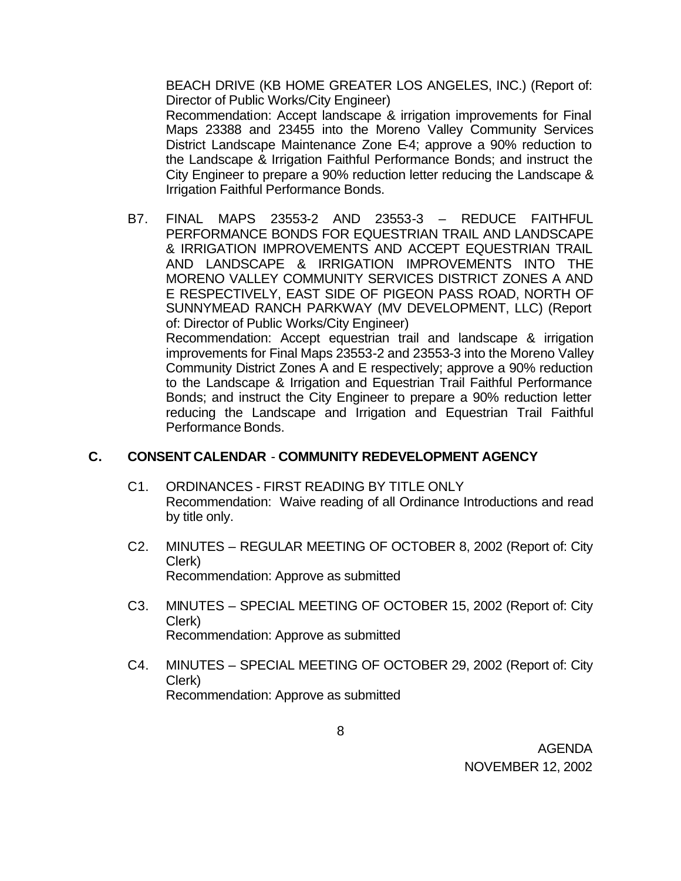BEACH DRIVE (KB HOME GREATER LOS ANGELES, INC.) (Report of: Director of Public Works/City Engineer)

Recommendation: Accept landscape & irrigation improvements for Final Maps 23388 and 23455 into the Moreno Valley Community Services District Landscape Maintenance Zone E-4; approve a 90% reduction to the Landscape & Irrigation Faithful Performance Bonds; and instruct the City Engineer to prepare a 90% reduction letter reducing the Landscape & Irrigation Faithful Performance Bonds.

B7. FINAL MAPS 23553-2 AND 23553-3 – REDUCE FAITHFUL PERFORMANCE BONDS FOR EQUESTRIAN TRAIL AND LANDSCAPE & IRRIGATION IMPROVEMENTS AND ACCEPT EQUESTRIAN TRAIL AND LANDSCAPE & IRRIGATION IMPROVEMENTS INTO THE MORENO VALLEY COMMUNITY SERVICES DISTRICT ZONES A AND E RESPECTIVELY, EAST SIDE OF PIGEON PASS ROAD, NORTH OF SUNNYMEAD RANCH PARKWAY (MV DEVELOPMENT, LLC) (Report of: Director of Public Works/City Engineer) Recommendation: Accept equestrian trail and landscape & irrigation improvements for Final Maps 23553-2 and 23553-3 into the Moreno Valley Community District Zones A and E respectively; approve a 90% reduction to the Landscape & Irrigation and Equestrian Trail Faithful Performance Bonds; and instruct the City Engineer to prepare a 90% reduction letter reducing the Landscape and Irrigation and Equestrian Trail Faithful Performance Bonds.

## **C. CONSENT CALENDAR** - **COMMUNITY REDEVELOPMENT AGENCY**

- C1. ORDINANCES FIRST READING BY TITLE ONLY Recommendation: Waive reading of all Ordinance Introductions and read by title only.
- C2. MINUTES REGULAR MEETING OF OCTOBER 8, 2002 (Report of: City Clerk) Recommendation: Approve as submitted
- C3. MINUTES SPECIAL MEETING OF OCTOBER 15, 2002 (Report of: City Clerk) Recommendation: Approve as submitted
- C4. MINUTES SPECIAL MEETING OF OCTOBER 29, 2002 (Report of: City Clerk) Recommendation: Approve as submitted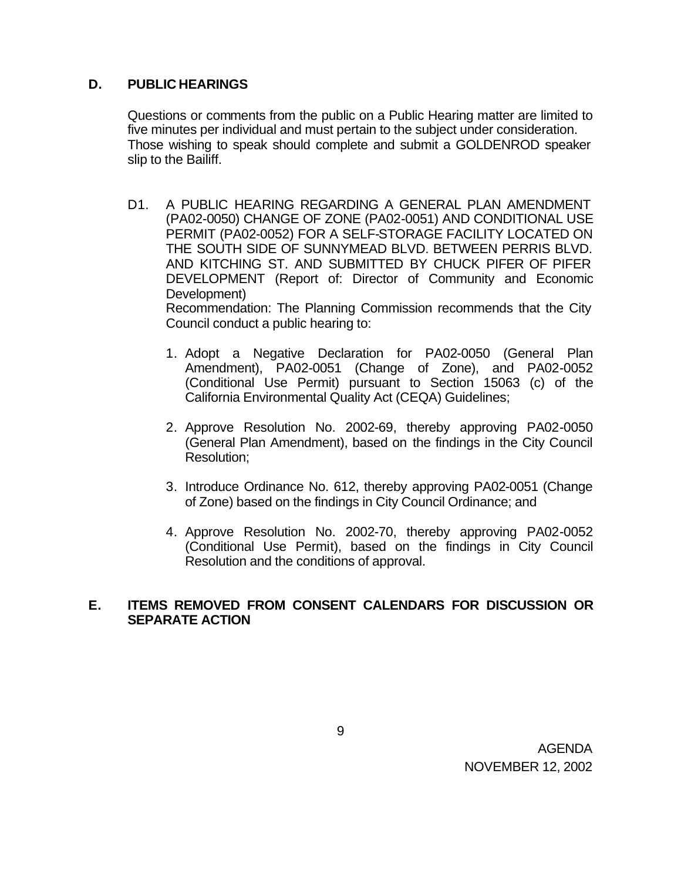# **D. PUBLIC HEARINGS**

Questions or comments from the public on a Public Hearing matter are limited to five minutes per individual and must pertain to the subject under consideration. Those wishing to speak should complete and submit a GOLDENROD speaker slip to the Bailiff.

- D1. A PUBLIC HEARING REGARDING A GENERAL PLAN AMENDMENT (PA02-0050) CHANGE OF ZONE (PA02-0051) AND CONDITIONAL USE PERMIT (PA02-0052) FOR A SELF-STORAGE FACILITY LOCATED ON THE SOUTH SIDE OF SUNNYMEAD BLVD. BETWEEN PERRIS BLVD. AND KITCHING ST. AND SUBMITTED BY CHUCK PIFER OF PIFER DEVELOPMENT (Report of: Director of Community and Economic Development) Recommendation: The Planning Commission recommends that the City Council conduct a public hearing to:
	- 1. Adopt a Negative Declaration for PA02-0050 (General Plan Amendment), PA02-0051 (Change of Zone), and PA02-0052 (Conditional Use Permit) pursuant to Section 15063 (c) of the California Environmental Quality Act (CEQA) Guidelines;
	- 2. Approve Resolution No. 2002-69, thereby approving PA02-0050 (General Plan Amendment), based on the findings in the City Council Resolution;
	- 3. Introduce Ordinance No. 612, thereby approving PA02-0051 (Change of Zone) based on the findings in City Council Ordinance; and
	- 4. Approve Resolution No. 2002-70, thereby approving PA02-0052 (Conditional Use Permit), based on the findings in City Council Resolution and the conditions of approval.

#### **E. ITEMS REMOVED FROM CONSENT CALENDARS FOR DISCUSSION OR SEPARATE ACTION**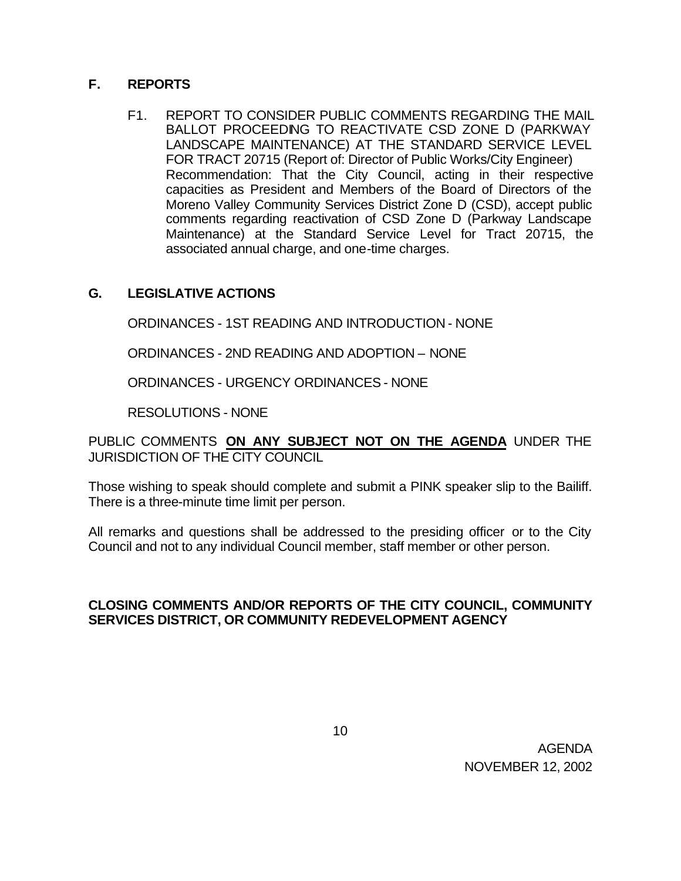# **F. REPORTS**

F1. REPORT TO CONSIDER PUBLIC COMMENTS REGARDING THE MAIL BALLOT PROCEEDING TO REACTIVATE CSD ZONE D (PARKWAY LANDSCAPE MAINTENANCE) AT THE STANDARD SERVICE LEVEL FOR TRACT 20715 (Report of: Director of Public Works/City Engineer) Recommendation: That the City Council, acting in their respective capacities as President and Members of the Board of Directors of the Moreno Valley Community Services District Zone D (CSD), accept public comments regarding reactivation of CSD Zone D (Parkway Landscape Maintenance) at the Standard Service Level for Tract 20715, the associated annual charge, and one-time charges.

# **G. LEGISLATIVE ACTIONS**

ORDINANCES - 1ST READING AND INTRODUCTION - NONE

ORDINANCES - 2ND READING AND ADOPTION – NONE

ORDINANCES - URGENCY ORDINANCES - NONE

RESOLUTIONS - NONE

PUBLIC COMMENTS **ON ANY SUBJECT NOT ON THE AGENDA** UNDER THE JURISDICTION OF THE CITY COUNCIL

Those wishing to speak should complete and submit a PINK speaker slip to the Bailiff. There is a three-minute time limit per person.

All remarks and questions shall be addressed to the presiding officer or to the City Council and not to any individual Council member, staff member or other person.

## **CLOSING COMMENTS AND/OR REPORTS OF THE CITY COUNCIL, COMMUNITY SERVICES DISTRICT, OR COMMUNITY REDEVELOPMENT AGENCY**